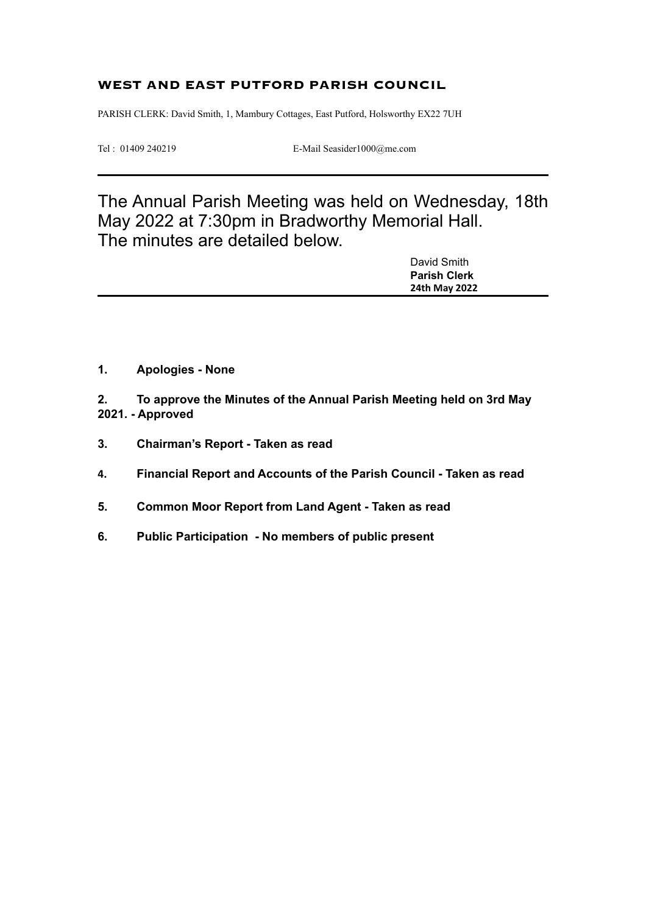#### **WEST AND EAST PUTFORD PARISH COUNCIL**

PARISH CLERK: David Smith, 1, Mambury Cottages, East Putford, Holsworthy EX22 7UH

Tel : 01409 240219 E-Mail Seasider1000@me.com

The Annual Parish Meeting was held on Wednesday, 18th May 2022 at 7:30pm in Bradworthy Memorial Hall. The minutes are detailed below.

| <b>Parish Clerk</b> |  |
|---------------------|--|
| 24th May 2022       |  |

**1. Apologies - None**

**2. To approve the Minutes of the Annual Parish Meeting held on 3rd May 2021. - Approved**

- **3. Chairman's Report Taken as read**
- **4. Financial Report and Accounts of the Parish Council Taken as read**
- **5. Common Moor Report from Land Agent Taken as read**
- **6. Public Participation No members of public present**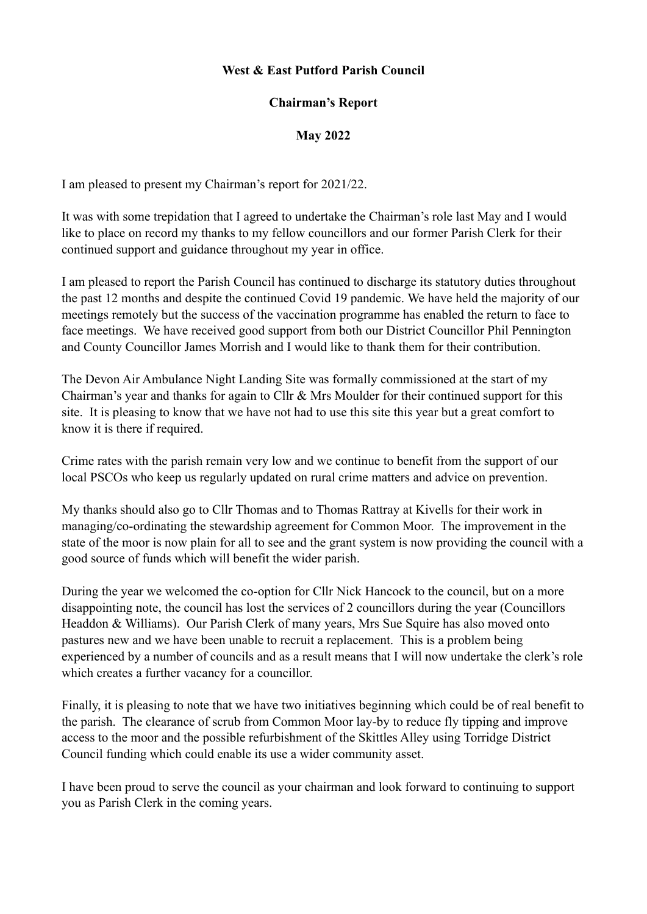#### **West & East Putford Parish Council**

#### **Chairman's Report**

## **May 2022**

I am pleased to present my Chairman's report for 2021/22.

It was with some trepidation that I agreed to undertake the Chairman's role last May and I would like to place on record my thanks to my fellow councillors and our former Parish Clerk for their continued support and guidance throughout my year in office.

I am pleased to report the Parish Council has continued to discharge its statutory duties throughout the past 12 months and despite the continued Covid 19 pandemic. We have held the majority of our meetings remotely but the success of the vaccination programme has enabled the return to face to face meetings. We have received good support from both our District Councillor Phil Pennington and County Councillor James Morrish and I would like to thank them for their contribution.

The Devon Air Ambulance Night Landing Site was formally commissioned at the start of my Chairman's year and thanks for again to Cllr & Mrs Moulder for their continued support for this site. It is pleasing to know that we have not had to use this site this year but a great comfort to know it is there if required.

Crime rates with the parish remain very low and we continue to benefit from the support of our local PSCOs who keep us regularly updated on rural crime matters and advice on prevention.

My thanks should also go to Cllr Thomas and to Thomas Rattray at Kivells for their work in managing/co-ordinating the stewardship agreement for Common Moor. The improvement in the state of the moor is now plain for all to see and the grant system is now providing the council with a good source of funds which will benefit the wider parish.

During the year we welcomed the co-option for Cllr Nick Hancock to the council, but on a more disappointing note, the council has lost the services of 2 councillors during the year (Councillors Headdon & Williams). Our Parish Clerk of many years, Mrs Sue Squire has also moved onto pastures new and we have been unable to recruit a replacement. This is a problem being experienced by a number of councils and as a result means that I will now undertake the clerk's role which creates a further vacancy for a councillor.

Finally, it is pleasing to note that we have two initiatives beginning which could be of real benefit to the parish. The clearance of scrub from Common Moor lay-by to reduce fly tipping and improve access to the moor and the possible refurbishment of the Skittles Alley using Torridge District Council funding which could enable its use a wider community asset.

I have been proud to serve the council as your chairman and look forward to continuing to support you as Parish Clerk in the coming years.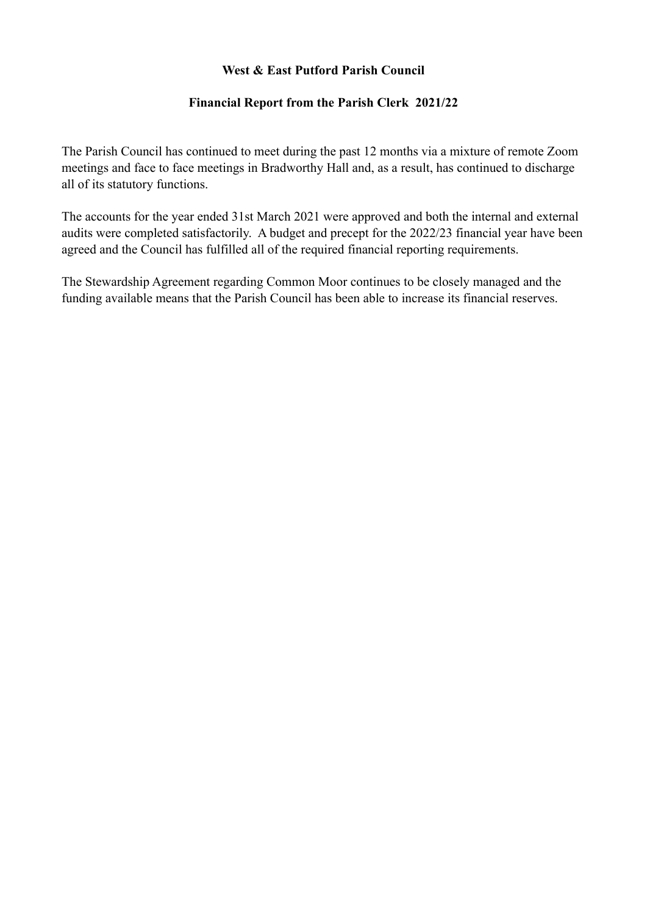# **West & East Putford Parish Council**

# **Financial Report from the Parish Clerk 2021/22**

The Parish Council has continued to meet during the past 12 months via a mixture of remote Zoom meetings and face to face meetings in Bradworthy Hall and, as a result, has continued to discharge all of its statutory functions.

The accounts for the year ended 31st March 2021 were approved and both the internal and external audits were completed satisfactorily. A budget and precept for the 2022/23 financial year have been agreed and the Council has fulfilled all of the required financial reporting requirements.

The Stewardship Agreement regarding Common Moor continues to be closely managed and the funding available means that the Parish Council has been able to increase its financial reserves.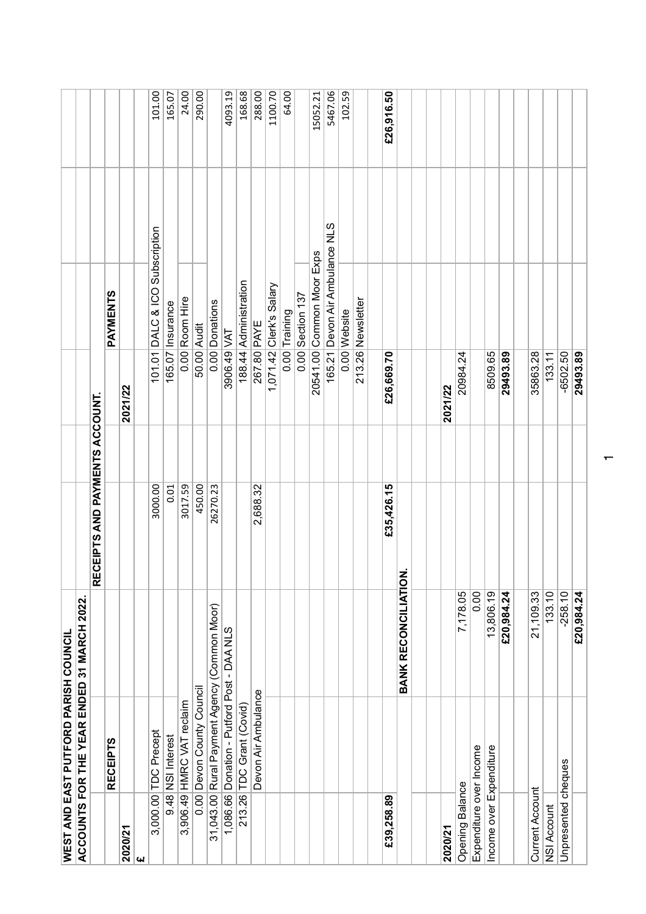|                         | <b>WEST AND EAST PUTFORD PARISH COUNCIL</b> |                  |                                      |            |
|-------------------------|---------------------------------------------|------------------|--------------------------------------|------------|
|                         | ACCOUNTS FOR THE YEAR ENDED 31 MARCH 2022.  |                  |                                      |            |
|                         |                                             | RECEIPTS AND PAY | <b>MENTS ACCOUNT.</b>                |            |
|                         | <b>RECEIPTS</b>                             |                  | PAYMENTS                             |            |
| 2020/21                 |                                             |                  | 2021/22                              |            |
| l W                     |                                             |                  |                                      |            |
| 3,000.00                | <b>TDC Precept</b>                          | 3000.00          | Subscription<br>DALC & ICO<br>101.01 | 101.00     |
| 9.48                    | <b>NSI</b> Interest                         | 0.01             | Insurance<br>165.07                  | 165.07     |
| 3,906.49                | HMRC VAT reclaim                            | 3017.59          | Room Hire<br>0.00                    | 24.00      |
| 0.00                    | Devon County Council                        | 450.00           | Audit<br>50.00                       | 290.00     |
| 31,043.00               | Rural Payment Agency (Common Moor)          | 26270.23         | Donations<br>0.00                    |            |
| 1,086.66                | Donation - Putford Post - DAA NLS           |                  | $\overline{\mathsf{Z}}$<br>3906.49   | 4093.19    |
| 213.26                  | TDC Grant (Covid)                           |                  | Administration<br>188.44             | 168.68     |
|                         | Devon Air Ambulance                         | 2,688.32         | <b>PAYE</b><br>267.80                | 288.00     |
|                         |                                             |                  | Clerk's Salary<br>1,071.42           | 1100.70    |
|                         |                                             |                  | Training<br>0.00                     | 64.00      |
|                         |                                             |                  | Section 137<br>0.00                  |            |
|                         |                                             |                  | Common Moor Exps<br>20541.00         | 15052.21   |
|                         |                                             |                  | Devon Air Ambulance NLS<br>165.21    | 5467.06    |
|                         |                                             |                  | 0.00 Website                         | 102.59     |
|                         |                                             |                  | 213.26 Newsletter                    |            |
|                         |                                             |                  |                                      |            |
| £39,258.89              |                                             | £35,426.15       | £26,669.70                           | £26,916.50 |
|                         | <b>BANK RECONCILIATION</b>                  |                  |                                      |            |
|                         |                                             |                  |                                      |            |
|                         |                                             |                  |                                      |            |
| 2020/21                 |                                             |                  | 2021/22                              |            |
| <b>Opening Balance</b>  | 7,178.05                                    |                  | 20984.24                             |            |
| Expenditure over Income | 0.00                                        |                  |                                      |            |
| Income over Expenditure | 13,806.19                                   |                  | 8509.65                              |            |
|                         | £20,984.24                                  |                  | 29493.89                             |            |
|                         |                                             |                  |                                      |            |
| <b>Current Account</b>  | 21,109.33                                   |                  | 35863.28                             |            |
| NSI Account             | 133.10                                      |                  | 133.11                               |            |
| Unpresented cheques     | $-258.10$                                   |                  | $-6502.50$                           |            |
|                         | £20,984.24                                  |                  | 29493.89                             |            |